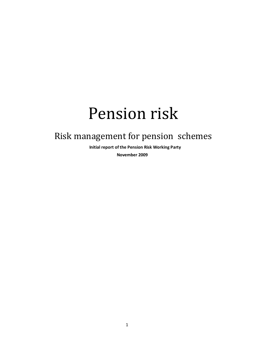# Pension risk

# Risk management for pension schemes

 **Initial report of the Pension Risk Working Party**

 **November 2009**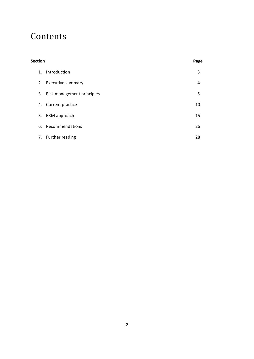# Contents

# **Section Page**

| 1. Introduction               | 3  |
|-------------------------------|----|
| 2. Executive summary          | 4  |
| 3. Risk management principles | 5. |
| 4. Current practice           | 10 |
| 5. ERM approach               | 15 |
| 6. Recommendations            | 26 |
| 7. Further reading            | 28 |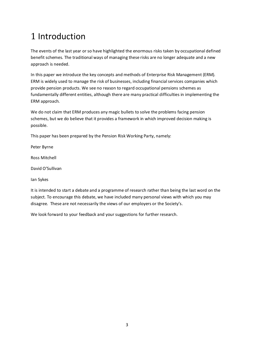# 1 Introduction

The events of the last year or so have highlighted the enormous risks taken by occupational defined benefit schemes. The traditional ways of managing these risks are no longer adequate and a new approach is needed.

In this paper we introduce the key concepts and methods of Enterprise Risk Management (ERM). ERM is widely used to manage the risk of businesses, including financial services companies which provide pension products. We see no reason to regard occupational pensions schemes as fundamentally different entities, although there are many practical difficulties in implementing the ERM approach.

We do not claim that ERM produces any magic bullets to solve the problems facing pension schemes, but we do believe that it provides a framework in which improved decision making is possible.

This paper has been prepared by the Pension Risk Working Party, namely:

Peter Byrne

Ross Mitchell

David O'Sullivan

Ian Sykes

It is intended to start a debate and a programme of research rather than being the last word on the subject. To encourage this debate, we have included many personal views with which you may disagree. These are not necessarily the views of our employers or the Society's.

We look forward to your feedback and your suggestions for further research.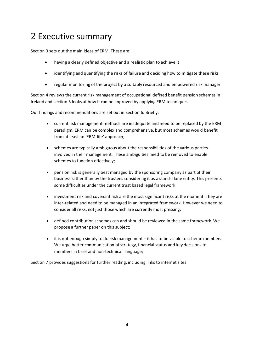# 2 Executive summary

Section 3 sets out the main ideas of ERM. These are:

- · having a clearly defined objective and a realistic plan to achieve it
- identifying and quantifying the risks of failure and deciding how to mitigate these risks
- · regular monitoring of the project by a suitably resourced and empowered risk manager

Section 4 reviews the current risk management of occupational defined benefit pension schemes in Ireland and section 5 looks at how it can be improved by applying ERM techniques.

Our findings and recommendations are set out in Section 6. Briefly:

- · current risk management methods are inadequate and need to be replaced by the ERM paradigm. ERM can be complex and comprehensive, but most schemes would benefit from at least an 'ERM-lite' approach;
- · schemes are typically ambiguous about the responsibilities of the various parties involved in their management. These ambiguities need to be removed to enable schemes to function effectively;
- · pension risk is generally best managed by the sponsoring company as part of their business rather than by the trustees considering it as a stand-alone entity. This presents some difficulties under the current trust based legal framework;
- investment risk and covenant risk are the most significant risks at the moment. They are inter-related and need to be managed in an integrated framework. However we need to consider all risks, not just those which are currently most pressing;
- · defined contribution schemes can and should be reviewed in the same framework. We propose a further paper on this subject;
- · it is not enough simply to do risk management it has to be visible to scheme members. We urge better communication of strategy, financial status and key decisions to members in brief and non-technical language;

Section 7 provides suggestions for further reading, including links to internet sites.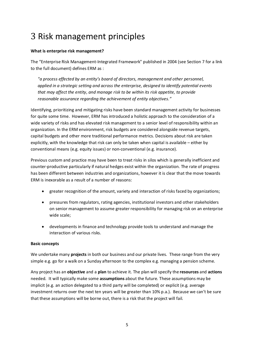# 3 Risk management principles

### **What is enterprise risk management?**

The "Enterprise Risk Management-Integrated Framework" published in 2004 (see Section 7 for a link to the full document) defines ERM as :

*"a process effected by an entity's board of directors, management and other personnel, applied in a strategic setting and across the enterprise, designed to identify potential events that may affect the entity, and manage risk to be within its risk appetite, to provide reasonable assurance regarding the achievement of entity objectives."*

Identifying, prioritizing and mitigating risks have been standard management activity for businesses for quite some time. However, ERM has introduced a holistic approach to the consideration of a wide variety of risks and has elevated risk management to a senior level of responsibility within an organization. In the ERM environment, risk budgets are considered alongside revenue targets, capital budgets and other more traditional performance metrics. Decisions about risk are taken explicitly, with the knowledge that risk can only be taken when capital is available – either by conventional means (e.g. equity issues) or non-conventional (e.g. insurance).

Previous custom and practice may have been to treat risks in silos which is generally inefficient and counter-productive particularly if natural hedges exist within the organization. The rate of progress has been different between industries and organizations, however it is clear that the move towards ERM is inexorable as a result of a number of reasons:

- · greater recognition of the amount, variety and interaction of risks faced by organizations;
- · pressures from regulators, rating agencies, institutional investors and other stakeholders on senior management to assume greater responsibility for managing risk on an enterprise wide scale;
- · developments in finance and technology provide tools to understand and manage the interaction of various risks.

#### **Basic concepts**

We undertake many **projects** in both our business and our private lives. These range from the very simple e.g. go for a walk on a Sunday afternoon to the complex e.g. managing a pension scheme.

Any project has an **objective** and a **plan** to achieve it. The plan will specify the **resources** and **actions** needed. It will typically make some **assumptions** about the future. These assumptions may be implicit (e.g. an action delegated to a third party will be completed) or explicit (e.g. average investment returns over the next ten years will be greater than 10% p.a.). Because we can't be sure that these assumptions will be borne out, there is a risk that the project will fail.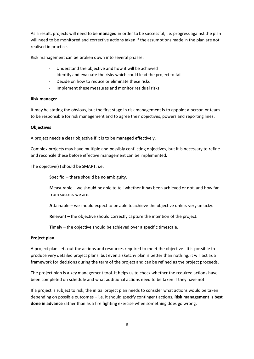As a result, projects will need to be **managed** in order to be successful, i.e. progress against the plan will need to be monitored and corrective actions taken if the assumptions made in the plan are not realised in practice.

Risk management can be broken down into several phases:

- Understand the objective and how it will be achieved
- Identify and evaluate the risks which could lead the project to fail
- Decide on how to reduce or eliminate these risks
- Implement these measures and monitor residual risks

#### **Risk manager**

It may be stating the obvious, but the first stage in risk management is to appoint a person or team to be responsible for risk management and to agree their objectives, powers and reporting lines.

#### **Objectives**

A project needs a clear objective if it is to be managed effectively.

Complex projects may have multiple and possibly conflicting objectives, but it is necessary to refine and reconcile these before effective management can be implemented.

The objective(s) should be SMART. i.e:

**S**pecific – there should be no ambiguity.

**M**easurable – we should be able to tell whether it has been achieved or not, and how far from success we are.

**A**ttainable – we should expect to be able to achieve the objective unless very unlucky.

**R**elevant – the objective should correctly capture the intention of the project.

**T**imely – the objective should be achieved over a specific timescale.

#### **Project plan**

A project plan sets out the actions and resources required to meet the objective. It is possible to produce very detailed project plans, but even a sketchy plan is better than nothing: it will act as a framework for decisions during the term of the project and can be refined as the project proceeds.

The project plan is a key management tool. It helps us to check whether the required actions have been completed on schedule and what additional actions need to be taken if they have not.

If a project is subject to risk, the initial project plan needs to consider what actions would be taken depending on possible outcomes – i.e. it should specify contingent actions. **Risk management is best done in advance** rather than as a fire fighting exercise when something does go wrong.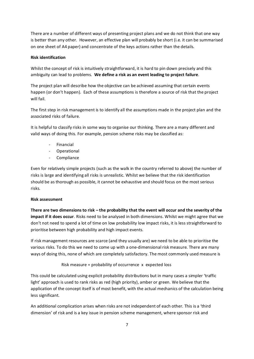There are a number of different ways of presenting project plans and we do not think that one way is better than any other. However, an effective plan will probably be short (i.e. it can be summarised on one sheet of A4 paper) and concentrate of the keys actions rather than the details.

### **Risk identification**

Whilst the concept of risk is intuitively straightforward, it is hard to pin down precisely and this ambiguity can lead to problems. **We define a risk as an event leading to project failure**.

The project plan will describe how the objective can be achieved assuming that certain events happen (or don't happen). Each of these assumptions is therefore a source of risk that the project will fail.

The first step in risk management is to identify all the assumptions made in the project plan and the associated risks of failure.

It is helpful to classify risks in some way to organise our thinking. There are a many different and valid ways of doing this. For example, pension scheme risks may be classified as:

- **Financial**
- Operational
- **Compliance**

Even for relatively simple projects (such as the walk in the country referred to above) the number of risks is large and identifying all risks is unrealistic. Whilst we believe that the risk identification should be as thorough as possible, it cannot be exhaustive and should focus on the most serious risks.

### **Risk assessment**

**There are two dimensions to risk – the probability that the event will occur and the severity of the impact if it does occur**. Risks need to be analysed in both dimensions. Whilst we might agree that we don't not need to spend a lot of time on low probability low impact risks, it is less straightforward to prioritise between high probability and high impact events.

If risk management resources are scarce (and they usually are) we need to be able to prioritise the various risks. To do this we need to come up with a one-dimensional risk measure. There are many ways of doing this, none of which are completely satisfactory. The most commonly used measure is

Risk measure = probability of occurrence x expected loss

This could be calculated using explicit probability distributions but in many cases a simpler 'traffic light' approach is used to rank risks as red (high priority), amber or green. We believe that the application of the concept itself is of most benefit, with the actual mechanics of the calculation being less significant.

An additional complication arises when risks are not independent of each other. This is a 'third dimension' of risk and is a key issue in pension scheme management, where sponsor risk and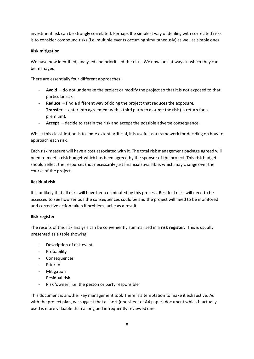investment risk can be strongly correlated. Perhaps the simplest way of dealing with correlated risks is to consider compound risks (i.e. multiple events occurring simultaneously) as well as simple ones.

# **Risk mitigation**

We have now identified, analysed and prioritised the risks. We now look at ways in which they can be managed.

There are essentially four different approaches:

- **Avoid** do not undertake the project or modify the project so that it is not exposed to that particular risk.
- Reduce find a different way of doing the project that reduces the exposure.
- **Transfer** enter into agreement with a third party to assume the risk (in return for a premium).
- **Accept** decide to retain the risk and accept the possible adverse consequence.

Whilst this classification is to some extent artificial, it is useful as a framework for deciding on how to approach each risk.

Each risk measure will have a cost associated with it. The total risk management package agreed will need to meet a **risk budget** which has been agreed by the sponsor of the project. This risk budget should reflect the resources (not necessarily just financial) available, which may change over the course of the project.

# **Residual risk**

It is unlikely that all risks will have been eliminated by this process. Residual risks will need to be assessed to see how serious the consequences could be and the project will need to be monitored and corrective action taken if problems arise as a result.

# **Risk register**

The results of this risk analysis can be conveniently summarised in a **risk register.** This is usually presented as a table showing:

- Description of risk event
- Probability
- **Consequences**
- Priority
- **Mitigation**
- Residual risk
- Risk 'owner', i.e. the person or party responsible

This document is another key management tool. There is a temptation to make it exhaustive. As with the project plan, we suggest that a short (one sheet of A4 paper) document which is actually used is more valuable than a long and infrequently reviewed one.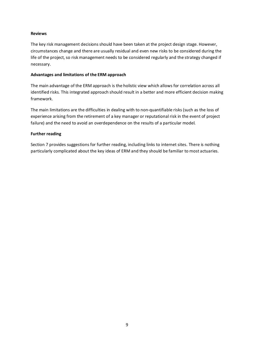## **Reviews**

The key risk management decisions should have been taken at the project design stage. However, circumstances change and there are usually residual and even new risks to be considered during the life of the project, so risk management needs to be considered regularly and the strategy changed if necessary.

# **Advantages and limitations of the ERM approach**

The main advantage of the ERM approach is the holistic view which allows for correlation across all identified risks. This integrated approach should result in a better and more efficient decision making framework.

The main limitations are the difficulties in dealing with to non-quantifiable risks (such as the loss of experience arising from the retirement of a key manager or reputational risk in the event of project failure) and the need to avoid an overdependence on the results of a particular model.

# **Further reading**

Section 7 provides suggestions for further reading, including links to internet sites. There is nothing particularly complicated about the key ideas of ERM and they should be familiar to most actuaries.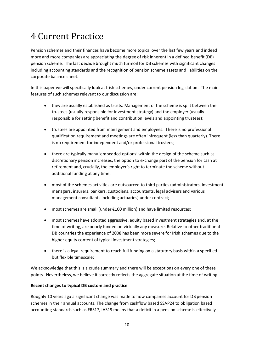# 4 Current Practice

Pension schemes and their finances have become more topical over the last few years and indeed more and more companies are appreciating the degree of risk inherent in a defined benefit (DB) pension scheme. The last decade brought much turmoil for DB schemes with significant changes including accounting standards and the recognition of pension scheme assets and liabilities on the corporate balance sheet.

In this paper we will specifically look at Irish schemes, under current pension legislation. The main features of such schemes relevant to our discussion are:

- · they are usually established as trusts. Management of the scheme is split between the trustees (usually responsible for investment strategy) and the employer (usually responsible for setting benefit and contribution levels and appointing trustees);
- · trustees are appointed from management and employees. There is no professional qualification requirement and meetings are often infrequent (less than quarterly). There is no requirement for independent and/or professional trustees;
- · there are typically many 'embedded options' within the design of the scheme such as discretionary pension increases, the option to exchange part of the pension for cash at retirement and, crucially, the employer's right to terminate the scheme without additional funding at any time;
- · most of the schemes activities are outsourced to third parties (administrators, investment managers, insurers, bankers, custodians, accountants, legal advisers and various management consultants including actuaries) under contract;
- · most schemes are small (under €100 million) and have limited resources;
- · most schemes have adopted aggressive, equity based investment strategies and, at the time of writing, are poorly funded on virtually any measure. Relative to other traditional DB countries the experience of 2008 has been more severe for Irish schemes due to the higher equity content of typical investment strategies;
- · there is a legal requirement to reach full funding on a statutory basis within a specified but flexible timescale;

We acknowledge that this is a crude summary and there will be exceptions on every one of these points. Nevertheless, we believe it correctly reflects the aggregate situation at the time of writing

# **Recent changes to typical DB custom and practice**

Roughly 10 years ago a significant change was made to how companies account for DB pension schemes in their annual accounts. The change from cashflow based SSAP24 to obligation based accounting standards such as FRS17, IAS19 means that a deficit in a pension scheme is effectively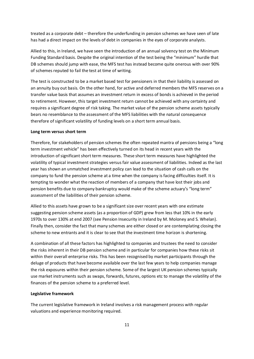treated as a corporate debt – therefore the underfunding in pension schemes we have seen of late has had a direct impact on the levels of debt in companies in the eyes of corporate analysts.

Allied to this, in Ireland, we have seen the introduction of an annual solvency test on the Minimum Funding Standard basis. Despite the original intention of the test being the "minimum" hurdle that DB schemes should jump with ease, the MFS test has instead become quite onerous with over 90% of schemes reputed to fail the test at time of writing.

The test is constructed to be a market based test for pensioners in that their liability is assessed on an annuity buy out basis. On the other hand, for active and deferred members the MFS reserves on a transfer value basis that assumes an investment return in excess of bonds is achieved in the period to retirement. However, this target investment return cannot be achieved with any certainty and requires a significant degree of risk taking. The market value of the pension scheme assets typically bears no resemblance to the assessment of the MFS liabilities with the natural consequence therefore of significant volatility of funding levels on a short term annual basis.

#### **Long term versus short term**

Therefore, for stakeholders of pension schemes the often repeated mantra of pensions being a "long term investment vehicle" has been effectively turned on its head in recent years with the introduction of significant short term measures. These short term measures have highlighted the volatility of typical investment strategies versus fair value assessment of liabilities. Indeed as the last year has shown an unmatched investment policy can lead to the situation of cash calls on the company to fund the pension scheme at a time when the company is facing difficulties itself. It is tempting to wonder what the reaction of members of a company that have lost their jobs and pension benefits due to company bankruptcy would make of the scheme actuary's "long term" assessment of the liabilities of their pension scheme.

Allied to this assets have grown to be a significant size over recent years with one estimate suggesting pension scheme assets (as a proportion of GDP) grew from less that 10% in the early 1970s to over 130% at end 2007 (see Pension Insecurity in Ireland by M. Moloney and S. Whelan). Finally then, consider the fact that many schemes are either closed or are contemplating closing the scheme to new entrants and it is clear to see that the investment time horizon is shortening.

A combination of all these factors has highlighted to companies and trustees the need to consider the risks inherent in their DB pension scheme and in particular for companies how these risks sit within their overall enterprise risks. This has been recognised by market participants through the deluge of products that have become available over the last few years to help companies manage the risk exposures within their pension scheme. Some of the largest UK pension schemes typically use market instruments such as swaps, forwards, futures, options etc to manage the volatility of the finances of the pension scheme to a preferred level.

#### **Legislative framework**

The current legislative framework in Ireland involves a risk management process with regular valuations and experience monitoring required.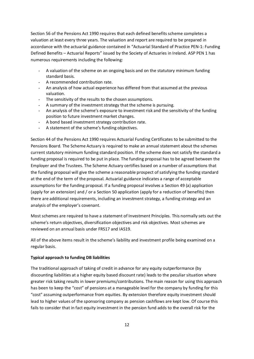Section 56 of the Pensions Act 1990 requires that each defined benefits scheme completes a valuation at least every three years. The valuation and report are required to be prepared in accordance with the actuarial guidance contained in "Actuarial Standard of Practice PEN-1: Funding Defined Benefits – Actuarial Reports" issued by the Society of Actuaries in Ireland. ASP PEN 1 has numerous requirements including the following:

- A valuation of the scheme on an ongoing basis and on the statutory minimum funding standard basis.
- A recommended contribution rate.
- An analysis of how actual experience has differed from that assumed at the previous valuation.
- The sensitivity of the results to the chosen assumptions.
- A summary of the investment strategy that the scheme is pursuing.
- An analysis of the scheme's exposure to investment risk and the sensitivity of the funding position to future investment market changes.
- A bond based investment strategy contribution rate.
- A statement of the scheme's funding objectives.

Section 44 of the Pensions Act 1990 requires Actuarial Funding Certificates to be submitted to the Pensions Board. The Scheme Actuary is required to make an annual statement about the schemes current statutory minimum funding standard position. If the scheme does not satisfy the standard a funding proposal is required to be put in place. The funding proposal has to be agreed between the Employer and the Trustees. The Scheme Actuary certifies based on a number of assumptions that the funding proposal will give the scheme a reasonable prospect of satisfying the funding standard at the end of the term of the proposal. Actuarial guidance indicates a range of acceptable assumptions for the funding proposal. If a funding proposal involves a Section 49 (a) application (apply for an extension) and / or a Section 50 application (apply for a reduction of benefits) then there are additional requirements, including an investment strategy, a funding strategy and an analysis of the employer's covenant.

Most schemes are required to have a statement of Investment Principles. This normally sets out the scheme's return objectives, diversification objectives and risk objectives. Most schemes are reviewed on an annual basis under FRS17 and IAS19.

All of the above items result in the scheme's liability and investment profile being examined on a regular basis.

### **Typical approach to funding DB liabilities**

The traditional approach of taking of credit in advance for any equity outperformance (by discounting liabilities at a higher equity based discount rate) leads to the peculiar situation where greater risk taking results in lower premiums/contributions. The main reason for using this approach has been to keep the "cost" of pensions at a manageable level for the company by funding for this "cost" assuming outperformance from equities. By extension therefore equity investment should lead to higher values of the sponsoring company as pension cashflows are kept low. Of course this fails to consider that in fact equity investment in the pension fund adds to the overall risk for the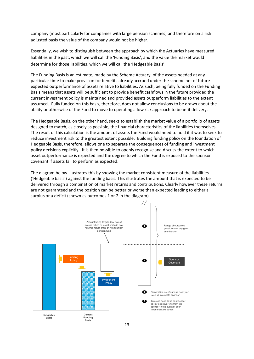company (most particularly for companies with large pension schemes) and therefore on a risk adjusted basis the value of the company would not be higher.

Essentially, we wish to distinguish between the approach by which the Actuaries have measured liabilities in the past, which we will call the 'Funding Basis', and the value the market would determine for those liabilities, which we will call the 'Hedgeable Basis'.

The Funding Basis is an estimate, made by the Scheme Actuary, of the assets needed at any particular time to make provision for benefits already accrued under the scheme net of future expected outperformance of assets relative to liabilities. As such, being fully funded on the Funding Basis means that assets will be sufficient to provide benefit cashflows in the future provided the current investment policy is maintained and provided assets outperform liabilities to the extent assumed. Fully funded on this basis, therefore, does not allow conclusions to be drawn about the ability or otherwise of the Fund to move to operating a low risk approach to benefit delivery.

The Hedgeable Basis, on the other hand, seeks to establish the market value of a portfolio of assets designed to match, as closely as possible, the financial characteristics of the liabilities themselves. The result of this calculation is the amount of assets the Fund would need to hold if it was to seek to reduce investment risk to the greatest extent possible. Building funding policy on the foundation of Hedgeable Basis, therefore, allows one to separate the consequences of funding and investment policy decisions explicitly. It is then possible to openly recognise and discuss the extent to which asset outperformance is expected and the degree to which the Fund is exposed to the sponsor covenant if assets fail to perform as expected.

The diagram below illustrates this by showing the market consistent measure of the liabilities ('Hedgeable basis') against the funding basis. This illustrates the amount that is expected to be delivered through a combination of market returns and contributions. Clearly however these returns are not guaranteed and the position can be better or worse than expected leading to either a surplus or a deficit (shown as outcomes 1 or 2 in the diagram).

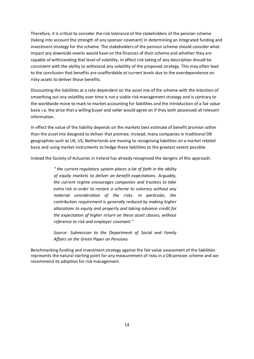Therefore, it is critical to consider the risk tolerance of the stakeholders of the pension scheme (taking into account the strength of any sponsor covenant) in determining an integrated funding and investment strategy for the scheme. The stakeholders of the pension scheme should consider what impact any downside events would have on the finances of their scheme and whether they are capable of withstanding that level of volatility. In effect risk taking of any description should be consistent with the ability to withstand any volatility of the proposed strategy. This may often lead to the conclusion that benefits are unaffordable at current levels due to the overdependence on risky assets to deliver those benefits.

Discounting the liabilities at a rate dependant on the asset mix of the scheme with the intention of smoothing out any volatility over time is not a viable risk management strategy and is contrary to the worldwide move to mark to market accounting for liabilities and the introduction of a fair value basis i.e. the price that a willing buyer and seller would agree on if they both possessed all relevant information.

In effect the value of the liability depends on the markets best estimate of benefit promise rather than the asset mix designed to deliver that promise. Instead, many companies in traditional DB geographies such as UK, US, Netherlands are moving to recognising liabilities on a market related basis and using market instruments to hedge these liabilities to the greatest extent possible.

Indeed the Society of Actuaries in Ireland has already recognised the dangers of this approach:

*" the current regulatory system places a lot of faith in the ability of equity markets to deliver on benefit expectations. Arguably, the current regime encourages companies and trustees to take extra risk in order to restore a scheme to solvency without any material consideration of the risks. In particular, the contribution requirement is generally reduced by making higher allocations to equity and property and taking advance credit for the expectation of higher return on these asset classes, without reference to risk and employer covenant."*

*Source: Submission to the Department of Social and Family Affairs on the Green Paper on Pensions*

Benchmarking funding and investment strategy against the fair value assessment of the liabilities represents the natural starting point for any measurement of risks in a DB pension scheme and we recommend its adoption for risk management.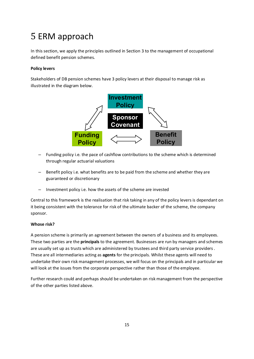# 5 ERM approach

In this section, we apply the principles outlined in Section 3 to the management of occupational defined benefit pension schemes.

# **Policy levers**

Stakeholders of DB pension schemes have 3 policy levers at their disposal to manage risk as illustrated in the diagram below.



- Funding policy i.e. the pace of cashflow contributions to the scheme which is determined through regular actuarial valuations
- Benefit policy i.e. what benefits are to be paid from the scheme and whether they are guaranteed or discretionary
- Investment policy i.e. how the assets of the scheme are invested

Central to this framework is the realisation that risk taking in any of the policy levers is dependant on it being consistent with the tolerance for risk of the ultimate backer of the scheme, the company sponsor.

# **Whose risk?**

A pension scheme is primarily an agreement between the owners of a business and its employees. These two parties are the **principals** to the agreement. Businesses are run by managers and schemes are usually set up as trusts which are administered by trustees and third party service providers . These are all intermediaries acting as **agents** for the principals. Whilst these agents will need to undertake their own risk management processes, we will focus on the principals and in particular we will look at the issues from the corporate perspective rather than those of the employee.

Further research could and perhaps should be undertaken on risk management from the perspective of the other parties listed above.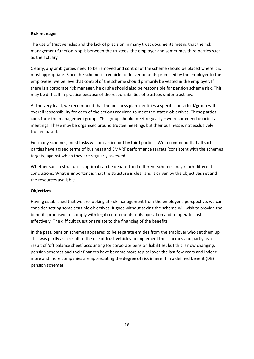#### **Risk manager**

The use of trust vehicles and the lack of precision in many trust documents means that the risk management function is split between the trustees, the employer and sometimes third parties such as the actuary.

Clearly, any ambiguities need to be removed and control of the scheme should be placed where it is most appropriate. Since the scheme is a vehicle to deliver benefits promised by the employer to the employees, we believe that control of the scheme should primarily be vested in the employer. If there is a corporate risk manager, he or she should also be responsible for pension scheme risk. This may be difficult in practice because of the responsibilities of trustees under trust law.

At the very least, we recommend that the business plan identifies a specific individual/group with overall responsibility for each of the actions required to meet the stated objectives. These parties constitute the management group. This group should meet regularly – we recommend quarterly meetings. These may be organised around trustee meetings but their business is not exclusively trustee based.

For many schemes, most tasks will be carried out by third parties. We recommend that all such parties have agreed terms of business and SMART performance targets (consistent with the schemes targets) against which they are regularly assessed.

Whether such a structure is optimal can be debated and different schemes may reach different conclusions. What is important is that the structure is clear and is driven by the objectives set and the resources available.

### **Objectives**

Having established that we are looking at risk management from the employer's perspective, we can consider setting some sensible objectives. It goes without saying the scheme will wish to provide the benefits promised, to comply with legal requirements in its operation and to operate cost effectively. The difficult questions relate to the financing of the benefits.

In the past, pension schemes appeared to be separate entities from the employer who set them up. This was partly as a result of the use of trust vehicles to implement the schemes and partly as a result of 'off balance sheet' accounting for corporate pension liabilities, but this is now changing: pension schemes and their finances have become more topical over the last few years and indeed more and more companies are appreciating the degree of risk inherent in a defined benefit (DB) pension schemes.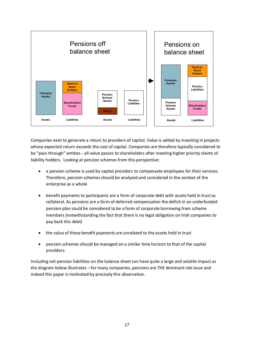

Companies exist to generate a return to providers of capital. Value is added by investing in projects whose expected return exceeds the cost of capital. Companies are therefore typically considered to be "pass through" entities - all value passes to shareholders after meeting higher priority claims of liability holders. Looking at pension schemes from this perspective:

- a pension scheme is used by capital providers to compensate employees for their services. Therefore, pension schemes should be analysed and considered in the context of the enterprise as a whole
- · benefit payments to participants are a form of corporate debt with assets held in trust as collateral. As pensions are a form of deferred compensation the deficit in an underfunded pension plan could be considered to be a form of corporate borrowing from scheme members (notwithstanding the fact that there is no legal obligation on Irish companies to pay back this debt)
- · the value of these benefit payments are unrelated to the assets held in trust
- · pension schemes should be managed on a similar time horizon to that of the capital providers.

Including net pension liabilities on the balance sheet can have quite a large and volatile impact as the diagram below illustrates – for many companies, pensions are THE dominant risk issue and indeed this paper is motivated by precisely this observation.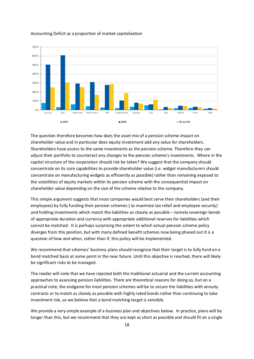

#### Accounting Deficit as a proportion of market capitalisation

The question therefore becomes how does the asset mix of a pension scheme impact on shareholder value and in particular does equity investment add any value for shareholders. Shareholders have access to the same investments as the pension scheme. Therefore they can adjust their portfolio to counteract any changes to the pension scheme's investments . Where in the capital structure of the corporation should risk be taken? We suggest that the company should concentrate on its core capabilities to provide shareholder value (i.e. widget manufacturers should concentrate on manufacturing widgets as efficiently as possible) rather than remaining exposed to the volatilities of equity markets within its pension scheme with the consequential impact on shareholder value depending on the size of the scheme relative to the company.

This simple argument suggests that most companies would best serve their shareholders (and their employees) by fully funding their pension schemes ( to maximize tax relief and employee security) and holding investments which match the liabilities as closely as possible – namely sovereign bonds of appropriate duration and currency with appropriate additional reserves for liabilities which cannot be matched. It is perhaps surprising the extent to which actual pension scheme policy diverges from this position, but with many defined benefit schemes now being phased out it is a question of how and when, rather than if, this policy will be implemented.

We recommend that schemes' business plans should recognize that their target is to fully fund on a bond matched basis at some point in the near future. Until this objective is reached, there will likely be significant risks to be managed.

The reader will note that we have rejected both the traditional actuarial and the current accounting approaches to assessing pension liabilities. There are theoretical reasons for doing so, but on a practical note, the endgame for most pension schemes will be to secure the liabilities with annuity contracts or to match as closely as possible with highly rated bonds rather than continuing to take investment risk, so we believe that a bond matching target is sensible.

We provide a very simple example of a business plan and objectives below. In practice, plans will be longer than this, but we recommend that they are kept as short as possible and should fit on a single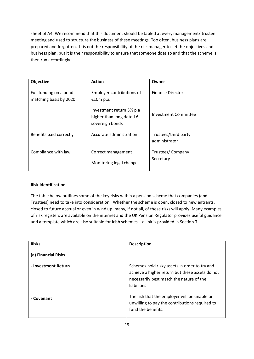sheet of A4. We recommend that this document should be tabled at every management/ trustee meeting and used to structure the business of these meetings. Too often, business plans are prepared and forgotten. It is not the responsibility of the risk manager to set the objectives and business plan, but it is their responsibility to ensure that someone does so and that the scheme is then run accordingly.

| Objective                                        | <b>Action</b>                                                                     | Owner                                 |
|--------------------------------------------------|-----------------------------------------------------------------------------------|---------------------------------------|
| Full funding on a bond<br>matching basis by 2020 | Employer contributions of<br>€10m p.a.                                            | <b>Finance Director</b>               |
|                                                  | Investment return 3% p.a.<br>higher than long dated $\epsilon$<br>sovereign bonds | Investment Committee                  |
| Benefits paid correctly                          | Accurate administration                                                           | Trustees/third party<br>administrator |
| Compliance with law                              | Correct management<br>Monitoring legal changes                                    | Trustees/ Company<br>Secretary        |

# **Risk identification**

The table below outlines some of the key risks within a pension scheme that companies (and Trustees) need to take into consideration. Whether the scheme is open, closed to new entrants, closed to future accrual or even in wind up; many, if not all, of these risks will apply. Many examples of risk registers are available on the internet and the UK Pension Regulator provides useful guidance and a template which are also suitable for Irish schemes – a link is provided in Section 7.

| <b>Risks</b>        | <b>Description</b>                                                                                                                                          |
|---------------------|-------------------------------------------------------------------------------------------------------------------------------------------------------------|
|                     |                                                                                                                                                             |
| (a) Financial Risks |                                                                                                                                                             |
| - Investment Return | Schemes hold risky assets in order to try and<br>achieve a higher return but these assets do not<br>necessarily best match the nature of the<br>liabilities |
| - Covenant          | The risk that the employer will be unable or<br>unwilling to pay the contributions required to<br>fund the benefits.                                        |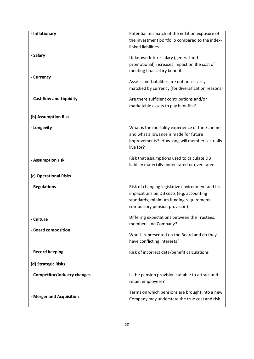| - Inflationary                | Potential mismatch of the inflation exposure of                                         |  |  |
|-------------------------------|-----------------------------------------------------------------------------------------|--|--|
|                               | the investment portfolio compared to the index-                                         |  |  |
|                               | linked liabilities                                                                      |  |  |
| - Salary                      |                                                                                         |  |  |
|                               | Unknown future salary (general and                                                      |  |  |
|                               | promotional) increases impact on the cost of                                            |  |  |
| - Currency                    | meeting final salary benefits                                                           |  |  |
|                               | Assets and Liabilities are not necessarily                                              |  |  |
|                               | matched by currency (for diversification reasons)                                       |  |  |
|                               |                                                                                         |  |  |
| - Cashflow and Liquidity      | Are there sufficient contributions and/or                                               |  |  |
|                               | marketable assets to pay benefits?                                                      |  |  |
| (b) Assumption Risk           |                                                                                         |  |  |
|                               |                                                                                         |  |  |
| - Longevity                   | What is the mortality experience of the Scheme<br>and what allowance is made for future |  |  |
|                               | improvements? How long will members actually                                            |  |  |
|                               | live for?                                                                               |  |  |
|                               |                                                                                         |  |  |
| - Assumption risk             | Risk that assumptions used to calculate DB                                              |  |  |
|                               | liability materially understated or overstated.                                         |  |  |
| (c) Operational Risks         |                                                                                         |  |  |
|                               |                                                                                         |  |  |
| - Regulations                 | Risk of changing legislative environment and its                                        |  |  |
|                               | implications on DB costs (e.g. accounting                                               |  |  |
|                               | standards; minimum funding requirements;                                                |  |  |
|                               | compulsory pension provision)                                                           |  |  |
| - Culture                     | Differing expectations between the Trustees,                                            |  |  |
|                               | members and Company?                                                                    |  |  |
| - Board composition           | Who is represented on the Board and do they                                             |  |  |
|                               | have conflicting interests?                                                             |  |  |
|                               |                                                                                         |  |  |
| - Record keeping              | Risk of incorrect data/benefit calculations                                             |  |  |
|                               |                                                                                         |  |  |
| (d) Strategic Risks           |                                                                                         |  |  |
| - Competitor/Industry changes | Is the pension provision suitable to attract and                                        |  |  |
|                               | retain employees?                                                                       |  |  |
|                               |                                                                                         |  |  |
| - Merger and Acquisition      | Terms on which pensions are brought into a new                                          |  |  |
|                               | Company may understate the true cost and risk                                           |  |  |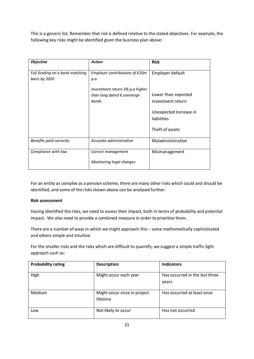This is a generic list. Remember that risk is defined relative to the stated objectives. For example, the following key risks might be identified given the business plan above:

| <b>Objective</b>                                 | <b>Action</b>                            | <b>Risk</b>            |
|--------------------------------------------------|------------------------------------------|------------------------|
| Full funding on a bond matching<br>basis by 2020 | Employer contributions of $£10m$<br>p.a. | Employer default       |
|                                                  | Investment return 3% p.a higher          |                        |
|                                                  | than long dated $\epsilon$ sovereign     | Lower than expected    |
|                                                  | bonds                                    | investment return      |
|                                                  |                                          | Unexpected increase in |
|                                                  |                                          | liabilities            |
|                                                  |                                          | Theft of assets        |
| Benefits paid correctly                          | Accurate administration                  | Maladministration      |
| Compliance with law                              | Correct management                       | Mismanagement          |
|                                                  | Monitoring legal changes                 |                        |

For an entity as complex as a pension scheme, there are many other risks which could and should be identified, and some of the risks shown above can be analysed further.

### **Risk assessment**

Having identified the risks, we need to assess their impact, both in terms of probability and potential impact. We also need to provide a combined measure in order to prioritise them.

There are a number of ways in which we might approach this – some mathematically sophisticated and others simple and intuitive.

For the smaller risks and the risks which are difficult to quantify, we suggest a simple traffic light approach such as:

| <b>Probability rating</b> | <b>Description</b>                      | <b>Indicators</b>                       |
|---------------------------|-----------------------------------------|-----------------------------------------|
| High                      | Might occur each year                   | Has occurred in the last three<br>years |
| Medium                    | Might occur once in project<br>lifetime | Has occurred at least once              |
| Low                       | Not likely to occur                     | Has not occurred                        |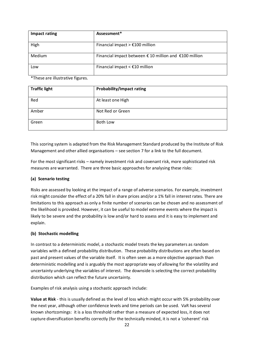| Impact rating | Assessment*                                                               |
|---------------|---------------------------------------------------------------------------|
| High          | Financial impact $> \text{\textsterling}100$ million                      |
| Medium        | Financial impact between $\epsilon$ 10 million and $\epsilon$ 100 million |
| Low           | Financial impact $\leq$ £10 million                                       |

\*These are illustrative figures.

| <b>Traffic light</b> | <b>Probability/Impact rating</b> |
|----------------------|----------------------------------|
| Red                  | At least one High                |
| Amber                | Not Red or Green                 |
| Green                | Both Low                         |

This scoring system is adapted from the Risk Management Standard produced by the Institute of Risk Management and other allied organisations – see section 7 for a link to the full document.

For the most significant risks – namely investment risk and covenant risk, more sophisticated risk measures are warranted. There are three basic approaches for analysing these risks:

# **(a) Scenario testing**

Risks are assessed by looking at the impact of a range of adverse scenarios. For example, investment risk might consider the effect of a 20% fall in share prices and/or a 1% fall in interest rates. There are limitations to this approach as only a finite number of scenarios can be chosen and no assessment of the likelihood is provided. However, it can be useful to model extreme events where the impact is likely to be severe and the probability is low and/or hard to assess and it is easy to implement and explain.

# **(b) Stochastic modelling**

In contrast to a deterministic model, a stochastic model treats the key parameters as random variables with a defined probability distribution. These probability distributions are often based on past and present values of the variable itself. It is often seen as a more objective approach than deterministic modelling and is arguably the most appropriate way of allowing for the volatility and uncertainty underlying the variables of interest. The downside is selecting the correct probability distribution which can reflect the future uncertainty.

Examples of risk analysis using a stochastic approach include:

**Value at Risk** - this is usually defined as the level of loss which might occur with 5% probability over the next year, although other confidence levels and time periods can be used. VaR has several known shortcomings: it is a loss threshold rather than a measure of expected loss, it does not capture diversification benefits correctly (for the technically minded, it is not a 'coherent' risk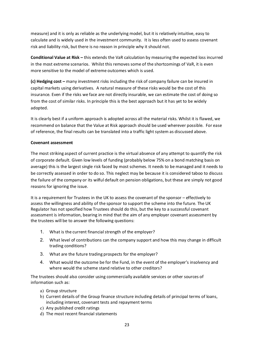measure) and it is only as reliable as the underlying model, but it is relatively intuitive, easy to calculate and is widely used in the investment community. It is less often used to assess covenant risk and liability risk, but there is no reason in principle why it should not.

**Conditional Value at Risk –** this extends the VaR calculation by measuring the expected loss incurred in the most extreme scenarios. Whilst this removes some of the shortcomings of VaR, it is even more sensitive to the model of extreme outcomes which is used.

**(c) Hedging cost –** many investment risks including the risk of company failure can be insured in capital markets using derivatives. A natural measure of these risks would be the cost of this insurance. Even if the risks we face are not directly insurable, we can estimate the cost of doing so from the cost of similar risks. In principle this is the best approach but it has yet to be widely adopted.

It is clearly best if a uniform approach is adopted across all the material risks. Whilst it is flawed, we recommend on balance that the Value at Risk approach should be used wherever possible. For ease of reference, the final results can be translated into a traffic light system as discussed above.

### **Covenant assessment**

The most striking aspect of current practice is the virtual absence of any attempt to quantify the risk of corporate default. Given low levels of funding (probably below 75% on a bond matching basis on average) this is the largest single risk faced by most schemes. It needs to be managed and it needs to be correctly assessed in order to do so. This neglect may be because it is considered taboo to discuss the failure of the company or its wilful default on pension obligations, but these are simply not good reasons for ignoring the issue.

It is a requirement for Trustees in the UK to assess the covenant of the sponsor – effectively to assess the willingness and ability of the sponsor to support the scheme into the future. The UK Regulator has not specified how Trustees should do this, but the key to a successful covenant assessment is information, bearing in mind that the aim of any employer covenant assessment by the trustees will be to answer the following questions:

- 1. What is the current financial strength of the employer?
- 2. What level of contributions can the company support and how this may change in difficult trading conditions?
- 3. What are the future trading prospects for the employer?
- 4. What would the outcome be for the Fund, in the event of the employer's insolvency and where would the scheme stand relative to other creditors?

The trustees should also consider using commercially available services or other sources of information such as:

- a) Group structure
- b) Current details of the Group finance structure including details of principal terms of loans, including interest, covenant tests and repayment terms
- c) Any published credit ratings
- d) The most recent financial statements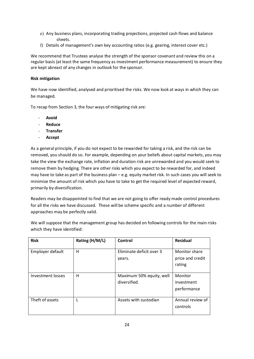- e) Any business plans, incorporating trading projections, projected cash flows and balance sheets.
- f) Details of management's own key accounting ratios (e.g. gearing, interest cover etc.)

We recommend that Trustees analyse the strength of the sponsor covenant and review this on a regular basis (at least the same frequency as investment performance measurement) to ensure they are kept abreast of any changes in outlook for the sponsor.

# **Risk mitigation**

We have now identified, analysed and prioritised the risks. We now look at ways in which they can be managed.

To recap from Section 3, the four ways of mitigating risk are:

- **Avoid**
- **Reduce**
- **Transfer**
- **Accept**

As a general principle, if you do not expect to be rewarded for taking a risk, and the risk can be removed, you should do so. For example, depending on your beliefs about capital markets, you may take the view the exchange rate, inflation and duration risk are unrewarded and you would seek to remove them by hedging. There are other risks which you expect to be rewarded for, and indeed may have to take as part of the business plan – e.g. equity market risk. In such cases you will seek to minimize the amount of risk which you have to take to get the required level of expected reward, primarily by diversification.

Readers may be disappointed to find that we are not going to offer ready made control procedures for all the risks we have discussed. These will be scheme specific and a number of different approaches may be perfectly valid.

We will suppose that the management group has decided on following controls for the main risks which they have identified:

| <b>Risk</b>       | Rating (H/M/L) | Control                                  | <b>Residual</b>                             |
|-------------------|----------------|------------------------------------------|---------------------------------------------|
| Employer default  | H              | Eliminate deficit over 3<br>years.       | Monitor share<br>price and credit<br>rating |
| Investment losses | H              | Maximum 50% equity, well<br>diversified. | Monitor<br>investment<br>performance        |
| Theft of assets   |                | Assets with custodian                    | Annual review of<br>controls                |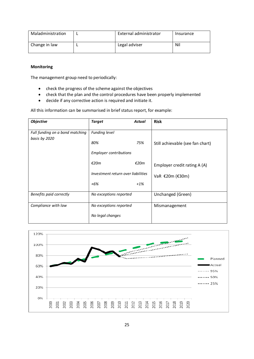| Maladministration | External administrator | Insurance |
|-------------------|------------------------|-----------|
| Change in law     | Legal adviser          | Nil       |

## **Monitoring**

The management group need to periodically:

- · check the progress of the scheme against the objectives
- · check that the plan and the control procedures have been properly implemented
- · decide if any corrective action is required and initiate it.

All this information can be summarised in brief status report, for example:

| <b>Objective</b>                                 | <b>Target</b>                      | <b>Actual</b> | <b>Risk</b>                      |
|--------------------------------------------------|------------------------------------|---------------|----------------------------------|
| Full funding on a bond matching<br>basis by 2020 | <b>Funding level</b>               |               |                                  |
|                                                  | 80%                                | 75%           | Still achievable (see fan chart) |
|                                                  | <b>Employer contributions</b>      |               |                                  |
|                                                  | €20m                               | €20 $m$       | Employer credit rating A (A)     |
|                                                  | Investment return over liabilities |               | VaR €20m (€30m)                  |
|                                                  | $+6%$                              | $+1%$         |                                  |
| Benefits paid correctly                          | No exceptions reported             |               | Unchanged (Green)                |
| Compliance with law                              | No exceptions reported             |               | Mismanagement                    |
|                                                  | No legal changes                   |               |                                  |

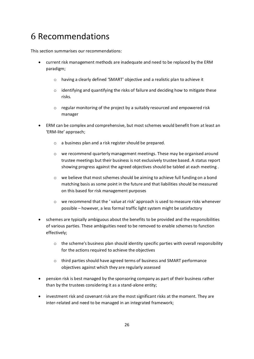# 6 Recommendations

This section summarises our recommendations:

- · current risk management methods are inadequate and need to be replaced by the ERM paradigm;
	- o having a clearly defined 'SMART' objective and a realistic plan to achieve it
	- o identifying and quantifying the risks of failure and deciding how to mitigate these risks.
	- $\circ$  regular monitoring of the project by a suitably resourced and empowered risk manager
- ERM can be complex and comprehensive, but most schemes would benefit from at least an 'ERM-lite' approach;
	- o a business plan and a risk register should be prepared.
	- o we recommend quarterly management meetings. These may be organised around trustee meetings but their business is not exclusively trustee based. A status report showing progress against the agreed objectives should be tabled at each meeting .
	- $\circ$  we believe that most schemes should be aiming to achieve full funding on a bond matching basis as some point in the future and that liabilities should be measured on this based for risk management purposes
	- o we recommend that the ' value at risk' approach is used to measure risks whenever possible – however, a less formal traffic light system might be satisfactory
- · schemes are typically ambiguous about the benefits to be provided and the responsibilities of various parties. These ambiguities need to be removed to enable schemes to function effectively;
	- $\circ$  the scheme's business plan should identity specific parties with overall responsibility for the actions required to achieve the objectives
	- o third parties should have agreed terms of business and SMART performance objectives against which they are regularly assessed
- · pension risk is best managed by the sponsoring company as part of their business rather than by the trustees considering it as a stand-alone entity;
- investment risk and covenant risk are the most significant risks at the moment. They are inter-related and need to be managed in an integrated framework;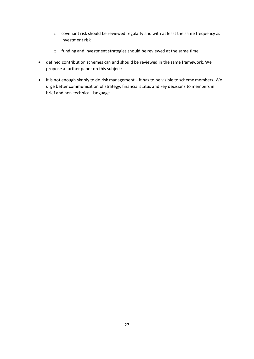- o covenant risk should be reviewed regularly and with at least the same frequency as investment risk
- o funding and investment strategies should be reviewed at the same time
- · defined contribution schemes can and should be reviewed in the same framework. We propose a further paper on this subject;
- · it is not enough simply to do risk management it has to be visible to scheme members. We urge better communication of strategy, financial status and key decisions to members in brief and non-technical language.